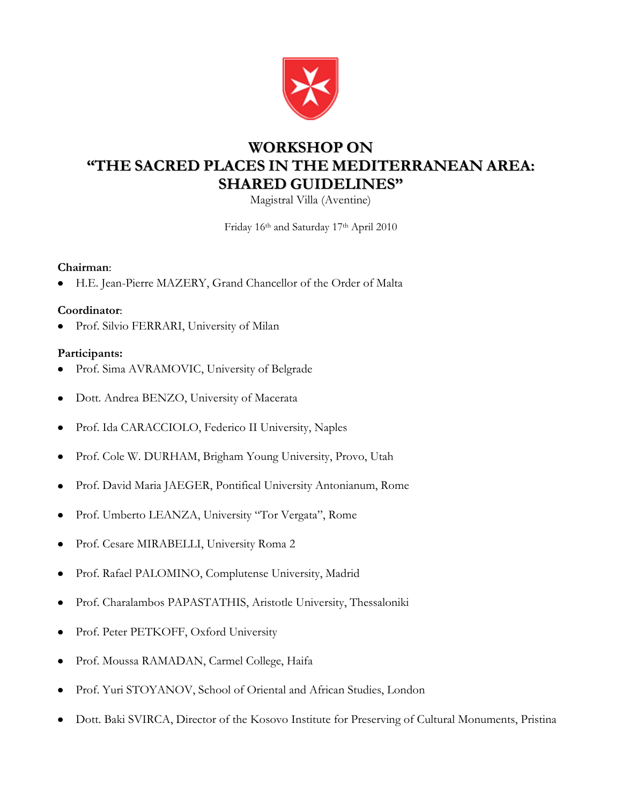

# **WORKSHOP ON "THE SACRED PLACES IN THE MEDITERRANEAN AREA: SHARED GUIDELINES"**

Magistral Villa (Aventine)

Friday 16th and Saturday 17th April 2010

### **Chairman**:

H.E. Jean-Pierre MAZERY, Grand Chancellor of the Order of Malta

### **Coordinator**:

Prof. Silvio FERRARI, University of Milan

### **Participants:**

- Prof. Sima AVRAMOVIC, University of Belgrade
- Dott. Andrea BENZO, University of Macerata
- Prof. Ida CARACCIOLO, Federico II University, Naples
- Prof. Cole W. DURHAM, Brigham Young University, Provo, Utah  $\bullet$
- Prof. David Maria JAEGER, Pontifical University Antonianum, Rome
- Prof. Umberto LEANZA, University "Tor Vergata", Rome  $\bullet$
- Prof. Cesare MIRABELLI, University Roma 2
- Prof. Rafael PALOMINO, Complutense University, Madrid
- Prof. Charalambos PAPASTATHIS, Aristotle University, Thessaloniki  $\bullet$
- Prof. Peter PETKOFF, Oxford University  $\bullet$
- Prof. Moussa RAMADAN, Carmel College, Haifa
- Prof. Yuri STOYANOV, School of Oriental and African Studies, London  $\bullet$
- Dott. Baki SVIRCA, Director of the Kosovo Institute for Preserving of Cultural Monuments, Pristina $\bullet$